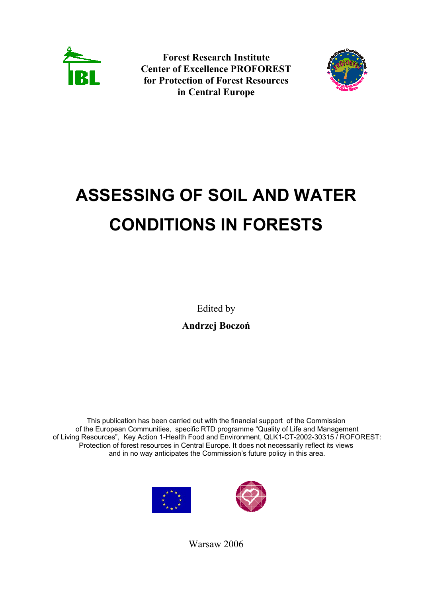

**Forest Research Institute Center of Excellence PROFOREST for Protection of Forest Resources in Central Europe** 



## **ASSESSING OF SOIL AND WATER CONDITIONS IN FORESTS**

Edited by **Andrzej Boczoń**

This publication has been carried out with the financial support of the Commission of the European Communities, specific RTD programme "Quality of Life and Management of Living Resources", Key Action 1-Health Food and Environment, QLK1-CT-2002-30315 / ROFOREST: Protection of forest resources in Central Europe. It does not necessarily reflect its views and in no way anticipates the Commission's future policy in this area.





Warsaw 2006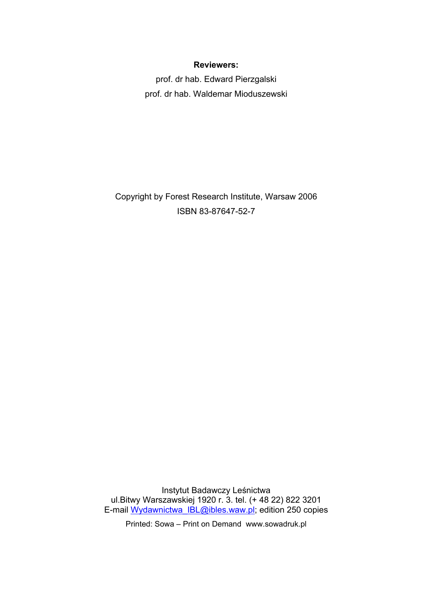## **Reviewers:**

prof. dr hab. Edward Pierzgalski prof. dr hab. Waldemar Mioduszewski

Copyright by Forest Research Institute, Warsaw 2006 ISBN 83-87647-52-7

Instytut Badawczy Leśnictwa ul.Bitwy Warszawskiej 1920 r. 3. tel. (+ 48 22) 822 3201 E-mail Wydawnictwa\_IBL@ibles.waw.pl; edition 250 copies

Printed: Sowa – Print on Demand www.sowadruk.pl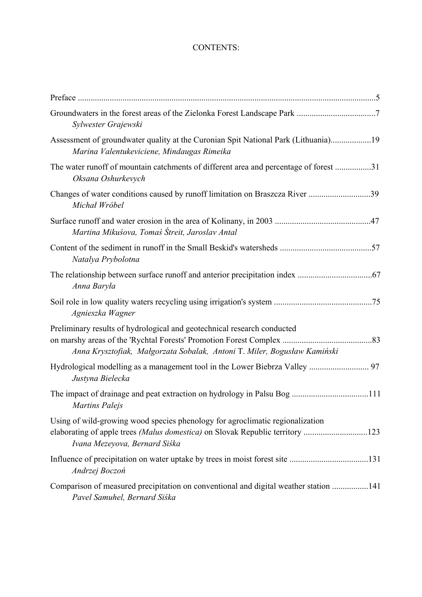## CONTENTS:

| Sylwester Grajewski                                                                                                                                                                             |
|-------------------------------------------------------------------------------------------------------------------------------------------------------------------------------------------------|
| Assessment of groundwater quality at the Curonian Spit National Park (Lithuania)19<br>Marina Valentukeviciene, Mindaugas Rimeika                                                                |
| The water runoff of mountain catchments of different area and percentage of forest 31<br>Oksana Oshurkevych                                                                                     |
| Changes of water conditions caused by runoff limitation on Braszcza River 39<br>Michał Wróbel                                                                                                   |
| Martina Mikuśova, Tomaś Śtreit, Jaroslav Antal                                                                                                                                                  |
| Natalya Prybolotna                                                                                                                                                                              |
| Anna Baryła                                                                                                                                                                                     |
| Agnieszka Wagner                                                                                                                                                                                |
| Preliminary results of hydrological and geotechnical research conducted<br>Anna Krysztofiak, Małgorzata Sobalak, Antoni T. Miler, Bogusław Kamiński                                             |
| Justyna Bielecka                                                                                                                                                                                |
| <b>Martins Palejs</b>                                                                                                                                                                           |
| Using of wild-growing wood species phenology for agroclimatic regionalization<br>elaborating of apple trees (Malus domestica) on Slovak Republic territory 123<br>Ivana Mezeyova, Bernard Siśka |
| Andrzej Boczoń                                                                                                                                                                                  |
| Comparison of measured precipitation on conventional and digital weather station 141<br>Pavel Samuhel, Bernard Siśka                                                                            |